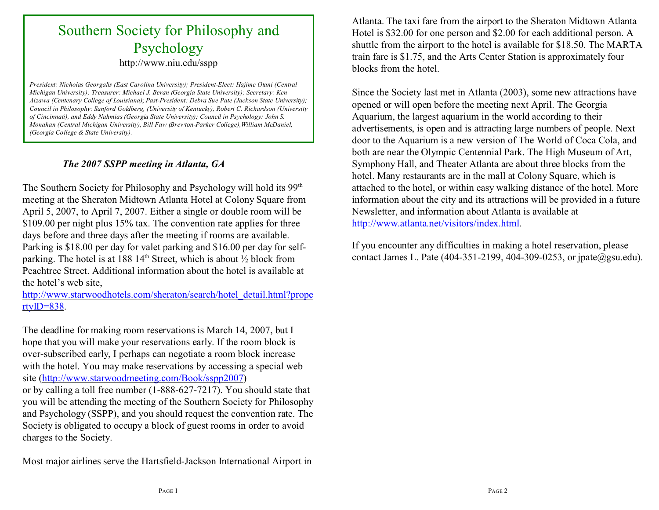# Southern Society for Philosophy and Psychology

http://www.niu.edu/sspp

*President: Nicholas Georgalis (East Carolina University); President-Elect: Hajime Otani (Central Michigan University); Treasurer: Michael J. Beran (Georgia State University); Secretary: Ken Aizawa (Centenary College of Louisiana)*; *Past-President: Debra Sue Pate (Jackson State University); Council in Philosophy: Sanford Goldberg, (University of Kentucky), Robert C. Richardson (University of Cincinnati), and Eddy Nahmias (Georgia State University); Council in Psychology: John S. Monahan (Central Michigan University), Bill Faw (Brewton-Parker College),William McDaniel, (Georgia College & State University).*

#### *The 2007 SSPP meeting in Atlanta, GA*

The Southern Society for Philosophy and Psychology will hold its 99<sup>th</sup> meeting at the Sheraton Midtown Atlanta Hotel at Colony Square from April 5, 2007, to April 7, 2007. Either a single or double room will be \$109.00 per night plus 15% tax. The convention rate applies for three days before and three days after the meeting if rooms are available. Parking is \$18.00 per day for valet parking and \$16.00 per day for selfparking. The hotel is at 188 14<sup>th</sup> Street, which is about  $\frac{1}{2}$  block from Peachtree Street. Additional information about the hotel is available at the hotel's web site,

http://www.starwoodhotels.com/sheraton/search/hotel\_detail.html?prope [rtyID=838](http://www.starwoodhotels.com/sheraton/search/hotel_detail.html?propertyID=838).

The deadline for making room reservations is March 14, 2007, but I hope that you will make your reservations early. If the room block is over-subscribed early, I perhaps can negotiate a room block increase with the hotel. You may make reservations by accessing a special web site [\(http://www.starwoodmeeting.com/Book/sspp2007](http://(http://www.starwoodmeeting.com/Book/sspp2007))

or by calling a toll free number (1-888-627-7217). You should state that you will be attending the meeting of the Southern Society for Philosophy and Psychology (SSPP), and you should request the convention rate. The Society is obligated to occupy a block of guest rooms in order to avoid charges to the Society.

Most major airlines serve the Hartsfield-Jackson International Airport in

Atlanta. The taxi fare from the airport to the Sheraton Midtown Atlanta Hotel is \$32.00 for one person and \$2.00 for each additional person. A shuttle from the airport to the hotel is available for \$18.50. The MARTA train fare is \$1.75, and the Arts Center Station is approximately four blocks from the hotel.

Since the Society last met in Atlanta (2003), some new attractions have opened or will open before the meeting next April. The Georgia Aquarium, the largest aquarium in the world according to their advertisements, is open and is attracting large numbers of people. Next door to the Aquarium is a new version of The World of Coca Cola, and both are near the Olympic Centennial Park. The High Museum of Art, Symphony Hall, and Theater Atlanta are about three blocks from the hotel. Many restaurants are in the mall at Colony Square, which is attached to the hotel, or within easy walking distance of the hotel. More information about the city and its attractions will be provided in a future Newsletter, and information about Atlanta is available at <http://www.atlanta.net/visitors/index.html>.

If you encounter any difficulties in making a hotel reservation, please contact James L. Pate (404-351-2199, 404-309-0253, or jpate@gsu.edu).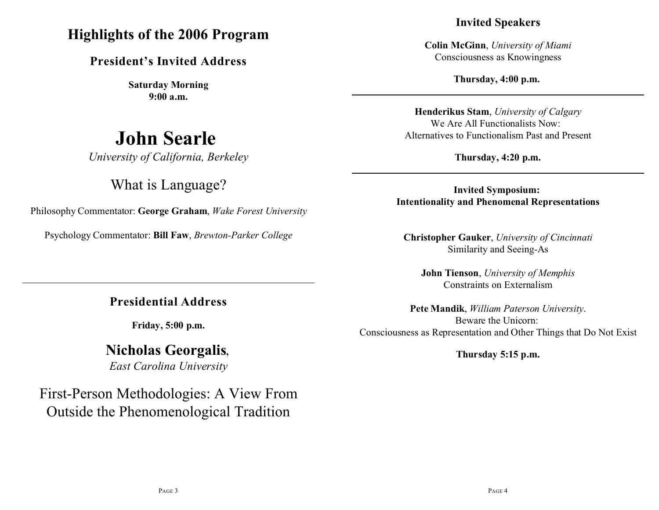### **Highlights of the 2006 Program**

**President's Invited Address**

**Saturday Morning 9:00 a.m.**

# **John Searle**

*University of California, Berkeley*

### What is Language?

Philosophy Commentator: **George Graham**, *Wake Forest University*

Psychology Commentator: **Bill Faw**, *Brewton-Parker College*

**Presidential Address**

**Friday, 5:00 p.m.**

## **Nicholas Georgalis,**

*East Carolina University*

## First-Person Methodologies: A View From Outside the Phenomenological Tradition

#### **Invited Speakers**

**Colin McGinn**, *University of Miami* Consciousness as Knowingness

**Thursday, 4:00 p.m.** 

**Henderikus Stam**, *University of Calgary* We Are All Functionalists Now: Alternatives to Functionalism Past and Present

**Thursday, 4:20 p.m.**

**Invited Symposium: Intentionality and Phenomenal Representations**

**Christopher Gauker**, *University of Cincinnati* Similarity and Seeing-As

**John Tienson**, *University of Memphis* Constraints on Externalism

**Pete Mandik**, *William Paterson University*. Beware the Unicorn: Consciousness as Representation and Other Things that Do Not Exist

**Thursday 5:15 p.m.**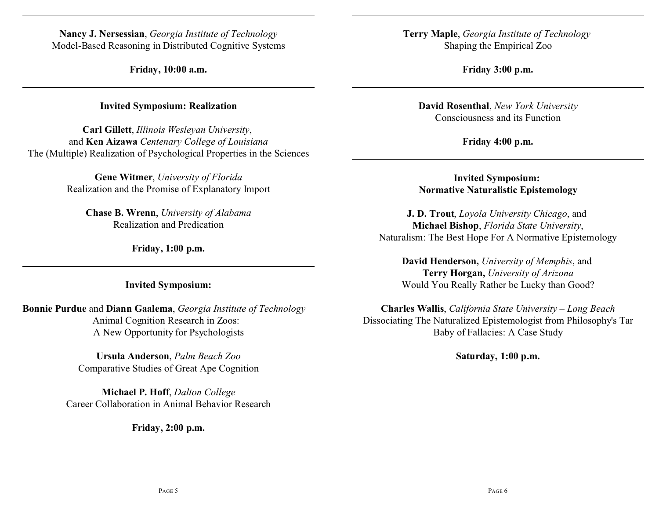**Nancy J. Nersessian**, *Georgia Institute of Technology* Model-Based Reasoning in Distributed Cognitive Systems

**Friday, 10:00 a.m.**

**Invited Symposium: Realization**

**Carl Gillett**, *Illinois Wesleyan University*, and **Ken Aizawa** *Centenary College of Louisiana* The (Multiple) Realization of Psychological Properties in the Sciences

> **Gene Witmer**, *University of Florida* Realization and the Promise of Explanatory Import

**Chase B. Wrenn**, *University of Alabama* Realization and Predication

**Friday, 1:00 p.m.**

**Invited Symposium:**

**Bonnie Purdue** and **Diann Gaalema**, *Georgia Institute of Technology* Animal Cognition Research in Zoos: A New Opportunity for Psychologists

> **Ursula Anderson**, *Palm Beach Zoo* Comparative Studies of Great Ape Cognition

**Michael P. Hoff**, *Dalton College* Career Collaboration in Animal Behavior Research

**Friday, 2:00 p.m.**

**Terry Maple**, *Georgia Institute of Technology*  Shaping the Empirical Zoo

**Friday 3:00 p.m.**

**David Rosenthal**, *New York University* Consciousness and its Function

**Friday 4:00 p.m.**

**Invited Symposium: Normative Naturalistic Epistemology**

**J. D. Trout**, *Loyola University Chicago*, and **Michael Bishop**, *Florida State University*, Naturalism: The Best Hope For A Normative Epistemology

**David Henderson,** *University of Memphis*, and **Terry Horgan,** *University of Arizona* Would You Really Rather be Lucky than Good?

**Charles Wallis**, *California State University – Long Beach* Dissociating The Naturalized Epistemologist from Philosophy's Tar Baby of Fallacies: A Case Study

**Saturday, 1:00 p.m.**